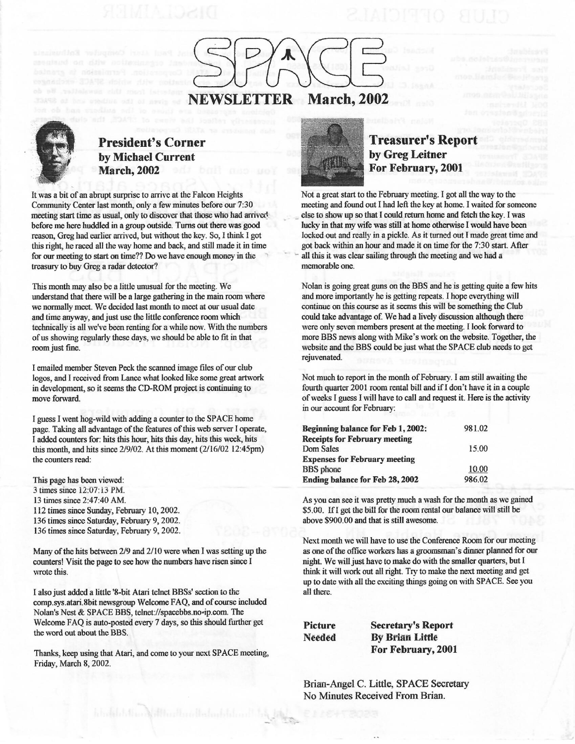NEWSLETTER **March,2002** 



#### **President's Corner by Michael Current March,2002**

It was a bit of an abrupt surprise to arrive at the Falcon Heights Community Center last month, only a few minutes before our 7:30 meeting start time as usual, only to discover that those who had arrived before me here huddled in a group outside. Turns out there was good reason, Greg had earlier arrived, but without the key. So, I think I got this right, he raced all the way home and back, and still made it in time for our meeting to start on time?? Do we have enough money in the treasury to buy Greg a radar detector?

This month may also be a little unusual for the meeting. We understand that there will be a large gathering in the main room where we normally meet. We decided last month to meet at our usual date and time anyway, and just use the little conference room which technically is all we've been renting for a while now. With the numbers of us showing regularly these days, we should be able to fit in that room just fine.

I emailed member Steven Peck the scanned image files of our club logos, and I received from Lance what looked like some great artwork in development, so it seems the CD-ROM project is continuing to move forward.

I guess I went hog-wild with adding a counter to the SPACE home page. Taking all advantage of the features of this web server I operate, I added counters for: hits this hour, hits this day, hits this week, hits this month, and hits since 2/9/02. At this moment (2/16/02 12:45pm) the counters read:

This page has been viewed: 3 times since 12:07:13 PM. 13 times since 2:47:40 AM. 112 times since Sunday, February 10, 2002. 136 times since Saturday, February 9, 2002. 136 times since Saturday, February 9, 2002.

Many of the hits between 2/9 and 2/10 were when I was setting up the counters! Visit the page to see how the numbers have risen since I wrote this.

I also just added a little '8-bit Atari telnet BBSs' section to the comp.sys.atari.8bit newsgroup Welcome FAQ, and of course included Nolan's Nest & SPACE BBS, telnet://spacebbs.no•ip.com. The Welcome FAQ is auto-posted every 7 days, so this should further get the word out about the BBS.

Thanks, keep using that Atari, and come to your next SPACE meeting, Friday, March 8, 2002.

Liskhistin Millington that mids



### **Treasurer's Report by Greg Leitner For February, 2001**

Not a great start to the February meeting. I got all the way to the meeting and found out I had left the key at home. I waited for someone else to show up so that I could return home and fetch the key. I was lucky in that my wife was still at home otherwise I would have been locked out and really in a pickle. As it turned out I made great time and got back within an hour and made it on time for the 7:30 start. After all this it was clear sailing through the meeting and we had a memorable one.

Nolan is going great guns on the BBS and he is getting quite a few hits and more importantly he is getting repeats. I hope everything will continue on this course as it seems this will be something the Club could take advantage of. We had a lively discussion although there were only seven members present at the meeting. I look forward to more BBS news along with Mike's work on the website. Together, the website and the BBS could be just what the SPACE club needs to get rejuvenated.

Not much to report in the month of February. I am still awaiting the fourth quarter 2001 room rental bill and if I don't have it in a couple of weeks I guess I will have to call and request it. Here is the activity in our account for February:

| Beginning balance for Feb 1, 2002:     | 981.02 |
|----------------------------------------|--------|
| <b>Receipts for February meeting</b>   |        |
| Dom Sales                              | 15.00  |
| <b>Expenses for February meeting</b>   |        |
| <b>BBS</b> phone                       | 10.00  |
| <b>Ending balance for Feb 28, 2002</b> | 986.02 |

As you can see it was pretty much a wash for the month as we gained \$5.00. IfI get the bill for the room rental our balance will still be above \$900.00 and that is still awesome.

Next month we will have to use the Conference Room for our meeting as one of the office workers has a groomsman's dinner planned for our night. We will just have to make do with the smaller quarters, but I think it will work out all right. Try to make the next meeting and get up to date with all the exciting things going on with SPACE. See you all there.

**Picture Needed**  **Secretary's Report By Brian Little For February, 2001** 

Brian-Angel C. Little, SPACE Secretary No Minutes Received From Brian.